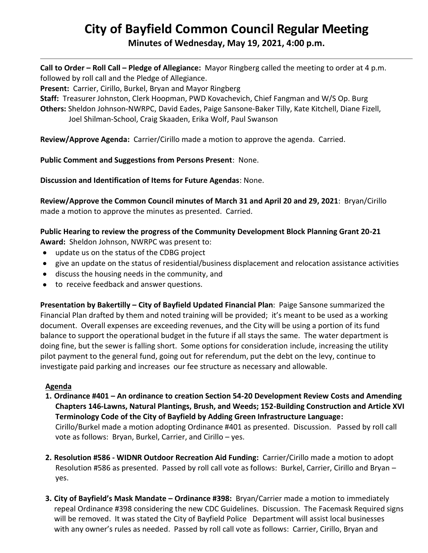# **City of Bayfield Common Council Regular Meeting**

**Minutes of Wednesday, May 19, 2021, 4:00 p.m.** 

**Call to Order – Roll Call – Pledge of Allegiance:** Mayor Ringberg called the meeting to order at 4 p.m. followed by roll call and the Pledge of Allegiance.

**Present:** Carrier, Cirillo, Burkel, Bryan and Mayor Ringberg

**Staff:** Treasurer Johnston, Clerk Hoopman, PWD Kovachevich, Chief Fangman and W/S Op. Burg

**Others:** Sheldon Johnson-NWRPC, David Eades, Paige Sansone-Baker Tilly, Kate Kitchell, Diane Fizell, Joel Shilman-School, Craig Skaaden, Erika Wolf, Paul Swanson

**Review/Approve Agenda:** Carrier/Cirillo made a motion to approve the agenda. Carried.

# **Public Comment and Suggestions from Persons Present**: None.

**Discussion and Identification of Items for Future Agendas**: None.

**Review/Approve the Common Council minutes of March 31 and April 20 and 29, 2021**: Bryan/Cirillo made a motion to approve the minutes as presented. Carried.

# **Public Hearing to review the progress of the Community Development Block Planning Grant 20-21**

**Award:** Sheldon Johnson, NWRPC was present to:

- update us on the status of the CDBG project
- give an update on the status of residential/business displacement and relocation assistance activities
- discuss the housing needs in the community, and
- to receive feedback and answer questions.

**Presentation by Bakertilly – City of Bayfield Updated Financial Plan**: Paige Sansone summarized the Financial Plan drafted by them and noted training will be provided; it's meant to be used as a working document. Overall expenses are exceeding revenues, and the City will be using a portion of its fund balance to support the operational budget in the future if all stays the same. The water department is doing fine, but the sewer is falling short. Some options for consideration include, increasing the utility pilot payment to the general fund, going out for referendum, put the debt on the levy, continue to investigate paid parking and increases our fee structure as necessary and allowable.

# **Agenda**

- **1. Ordinance #401 – An ordinance to creation Section 54-20 Development Review Costs and Amending Chapters 146-Lawns, Natural Plantings, Brush, and Weeds; 152-Building Construction and Article XVI Terminology Code of the City of Bayfield by Adding Green Infrastructure Language:** Cirillo/Burkel made a motion adopting Ordinance #401 as presented. Discussion. Passed by roll call vote as follows: Bryan, Burkel, Carrier, and Cirillo – yes.
- **2. Resolution #586 - WIDNR Outdoor Recreation Aid Funding:** Carrier/Cirillo made a motion to adopt Resolution #586 as presented. Passed by roll call vote as follows: Burkel, Carrier, Cirillo and Bryan – yes.
- **3. City of Bayfield's Mask Mandate – Ordinance #398:** Bryan/Carrier made a motion to immediately repeal Ordinance #398 considering the new CDC Guidelines. Discussion. The Facemask Required signs will be removed. It was stated the City of Bayfield Police Department will assist local businesses with any owner's rules as needed. Passed by roll call vote as follows: Carrier, Cirillo, Bryan and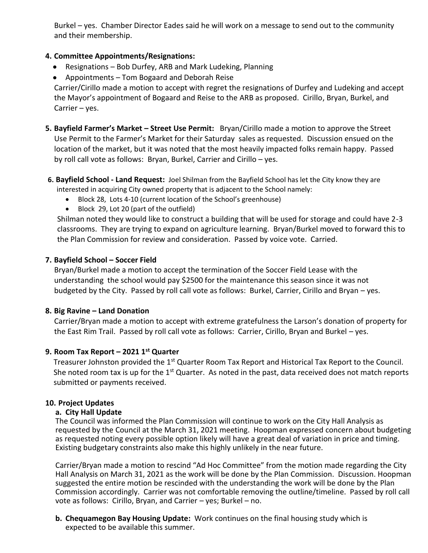Burkel – yes. Chamber Director Eades said he will work on a message to send out to the community and their membership.

# **4. Committee Appointments/Resignations:**

- Resignations Bob Durfey, ARB and Mark Ludeking, Planning
- Appointments Tom Bogaard and Deborah Reise

Carrier/Cirillo made a motion to accept with regret the resignations of Durfey and Ludeking and accept the Mayor's appointment of Bogaard and Reise to the ARB as proposed. Cirillo, Bryan, Burkel, and Carrier – yes.

- **5. Bayfield Farmer's Market – Street Use Permit:** Bryan/Cirillo made a motion to approve the Street Use Permit to the Farmer's Market for their Saturday sales as requested. Discussion ensued on the location of the market, but it was noted that the most heavily impacted folks remain happy. Passed by roll call vote as follows: Bryan, Burkel, Carrier and Cirillo – yes.
- **6. Bayfield School - Land Request:** Joel Shilman from the Bayfield School has let the City know they are interested in acquiring City owned property that is adjacent to the School namely:
	- Block 28, Lots 4-10 (current location of the School's greenhouse)
	- Block 29, Lot 20 (part of the outfield)

 Shilman noted they would like to construct a building that will be used for storage and could have 2-3 classrooms. They are trying to expand on agriculture learning. Bryan/Burkel moved to forward this to the Plan Commission for review and consideration. Passed by voice vote. Carried.

# **7. Bayfield School – Soccer Field**

 Bryan/Burkel made a motion to accept the termination of the Soccer Field Lease with the understanding the school would pay \$2500 for the maintenance this season since it was not budgeted by the City. Passed by roll call vote as follows: Burkel, Carrier, Cirillo and Bryan – yes.

### **8. Big Ravine – Land Donation**

 Carrier/Bryan made a motion to accept with extreme gratefulness the Larson's donation of property for the East Rim Trail. Passed by roll call vote as follows: Carrier, Cirillo, Bryan and Burkel – yes.

# **9. Room Tax Report – 2021 1st Quarter**

Treasurer Johnston provided the 1<sup>st</sup> Quarter Room Tax Report and Historical Tax Report to the Council. She noted room tax is up for the 1<sup>st</sup> Quarter. As noted in the past, data received does not match reports submitted or payments received.

### **10. Project Updates**

### **a. City Hall Update**

The Council was informed the Plan Commission will continue to work on the City Hall Analysis as requested by the Council at the March 31, 2021 meeting. Hoopman expressed concern about budgeting as requested noting every possible option likely will have a great deal of variation in price and timing. Existing budgetary constraints also make this highly unlikely in the near future.

Carrier/Bryan made a motion to rescind "Ad Hoc Committee" from the motion made regarding the City Hall Analysis on March 31, 2021 as the work will be done by the Plan Commission. Discussion. Hoopman suggested the entire motion be rescinded with the understanding the work will be done by the Plan Commission accordingly. Carrier was not comfortable removing the outline/timeline. Passed by roll call vote as follows: Cirillo, Bryan, and Carrier – yes; Burkel – no.

**b. Chequamegon Bay Housing Update:** Work continues on the final housing study which is expected to be available this summer.